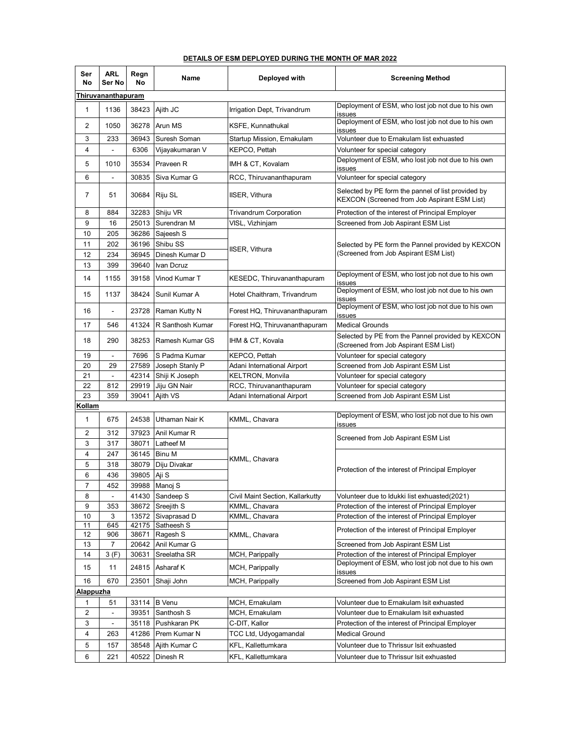| Ser<br>No               | ARL<br>Ser No            | Regn<br>No | Name             | Deployed with                    | <b>Screening Method</b>                                                                            |  |  |  |  |
|-------------------------|--------------------------|------------|------------------|----------------------------------|----------------------------------------------------------------------------------------------------|--|--|--|--|
| Thiruvananthapuram      |                          |            |                  |                                  |                                                                                                    |  |  |  |  |
| $\mathbf{1}$            | 1136                     |            | 38423 Ajith JC   | Irrigation Dept, Trivandrum      | Deployment of ESM, who lost job not due to his own<br>issues                                       |  |  |  |  |
| 2                       | 1050                     | 36278      | <b>Arun MS</b>   | KSFE, Kunnathukal                | Deployment of ESM, who lost job not due to his own<br>issues                                       |  |  |  |  |
| 3                       | 233                      | 36943      | Suresh Soman     | Startup Mission, Ernakulam       | Volunteer due to Ernakulam list exhuasted                                                          |  |  |  |  |
| $\overline{\mathbf{4}}$ |                          | 6306       | Vijayakumaran V  | KEPCO, Pettah                    | Volunteer for special category                                                                     |  |  |  |  |
| 5                       | 1010                     | 35534      | Praveen R        | IMH & CT, Kovalam                | Deployment of ESM, who lost job not due to his own<br>issues                                       |  |  |  |  |
| 6                       |                          | 30835      | Siva Kumar G     | RCC, Thiruvananthapuram          | Volunteer for special category                                                                     |  |  |  |  |
| 7                       | 51                       | 30684      | Riju SL          | IISER, Vithura                   | Selected by PE form the pannel of list provided by<br>KEXCON (Screened from Job Aspirant ESM List) |  |  |  |  |
| 8                       | 884                      | 32283      | Shiju VR         | <b>Trivandrum Corporation</b>    | Protection of the interest of Principal Employer                                                   |  |  |  |  |
| 9                       | 16                       | 25013      | Surendran M      | VISL, Vizhinjam                  | Screened from Job Aspirant ESM List                                                                |  |  |  |  |
| 10                      | 205                      | 36286      | Sajeesh S        |                                  | Selected by PE form the Pannel provided by KEXCON<br>(Screened from Job Aspirant ESM List)         |  |  |  |  |
| 11                      | 202                      | 36196      | Shibu SS         |                                  |                                                                                                    |  |  |  |  |
| 12                      | 234                      | 36945      | Dinesh Kumar D   | IISER, Vithura                   |                                                                                                    |  |  |  |  |
| 13                      | 399                      | 39640      | Ivan Dcruz       |                                  |                                                                                                    |  |  |  |  |
| 14                      | 1155                     | 39158      | Vinod Kumar T    | KESEDC, Thiruvananthapuram       | Deployment of ESM, who lost job not due to his own<br>issues                                       |  |  |  |  |
| 15                      | 1137                     | 38424      | Sunil Kumar A    | Hotel Chaithram, Trivandrum      | Deployment of ESM, who lost job not due to his own<br>issues                                       |  |  |  |  |
| 16                      |                          | 23728      | Raman Kutty N    | Forest HQ, Thiruvananthapuram    | Deployment of ESM, who lost job not due to his own<br>issues                                       |  |  |  |  |
| 17                      | 546                      | 41324      | R Santhosh Kumar | Forest HQ, Thiruvananthapuram    | <b>Medical Grounds</b>                                                                             |  |  |  |  |
| 18                      | 290                      | 38253      | Ramesh Kumar GS  | IHM & CT, Kovala                 | Selected by PE from the Pannel provided by KEXCON<br>(Screened from Job Aspirant ESM List)         |  |  |  |  |
| 19                      | $\overline{\phantom{a}}$ | 7696       | S Padma Kumar    | KEPCO, Pettah                    | Volunteer for special category                                                                     |  |  |  |  |
| 20                      | 29                       | 27589      | Joseph Stanly P  | Adani International Airport      | Screened from Job Aspirant ESM List                                                                |  |  |  |  |
| 21                      | $\overline{\phantom{a}}$ | 42314      | Shiji K Joseph   | KELTRON, Monvila                 | Volunteer for special category                                                                     |  |  |  |  |
| 22                      | 812                      | 29919      | Jiju GN Nair     | RCC, Thiruvananthapuram          | Volunteer for special category                                                                     |  |  |  |  |
| 23                      | 359                      | 39041      | Ajith VS         | Adani International Airport      | Screened from Job Aspirant ESM List                                                                |  |  |  |  |
| <b>Kollam</b>           |                          |            |                  |                                  |                                                                                                    |  |  |  |  |
| 1                       | 675                      | 24538      | Uthaman Nair K   | KMML, Chavara                    | Deployment of ESM, who lost job not due to his own<br>issues                                       |  |  |  |  |
| 2                       | 312                      | 37923      | Anil Kumar R     |                                  | Screened from Job Aspirant ESM List                                                                |  |  |  |  |
| 3                       | 317                      | 38071      | Latheef M        |                                  |                                                                                                    |  |  |  |  |
| 4                       | 247                      | 36145      | <b>Binu M</b>    |                                  | Protection of the interest of Principal Employer                                                   |  |  |  |  |
| 5                       | 318                      | 38079      | Diju Divakar     | KMML, Chavara                    |                                                                                                    |  |  |  |  |
| 6                       | 436                      | 39805      | Aji S            |                                  |                                                                                                    |  |  |  |  |
| $\overline{7}$          | 452                      |            | 39988 Manoj S    |                                  |                                                                                                    |  |  |  |  |
| 8                       |                          |            | 41430 Sandeep S  | Civil Maint Section, Kallarkutty | Volunteer due to Idukki list exhuasted(2021)                                                       |  |  |  |  |
| 9                       | 353                      |            | 38672 Sreejith S | KMML, Chavara                    | Protection of the interest of Principal Employer                                                   |  |  |  |  |
| 10                      | 3                        | 13572      | Sivaprasad D     | KMML, Chavara                    | Protection of the interest of Principal Employer                                                   |  |  |  |  |
| 11                      | 645                      | 42175      | Satheesh S       |                                  |                                                                                                    |  |  |  |  |
| 12                      | 906                      | 38671      | Ragesh S         | KMML, Chavara                    | Protection of the interest of Principal Employer                                                   |  |  |  |  |
| 13                      | 7                        | 20642      | Anil Kumar G     |                                  | Screened from Job Aspirant ESM List                                                                |  |  |  |  |
| 14                      | 3(F)                     | 30631      | Sreelatha SR     | MCH, Parippally                  | Protection of the interest of Principal Employer                                                   |  |  |  |  |
| 15                      | 11                       |            | 24815 Asharaf K  | MCH, Parippally                  | Deployment of ESM, who lost job not due to his own<br>issues                                       |  |  |  |  |
| 16                      | 670                      | 23501      | Shaji John       | MCH, Parippally                  | Screened from Job Aspirant ESM List                                                                |  |  |  |  |
| <u>Alappuzha</u>        |                          |            |                  |                                  |                                                                                                    |  |  |  |  |
| 1                       | 51                       |            | 33114 B Venu     | MCH, Ernakulam                   | Volunteer due to Ernakulam Isit exhuasted                                                          |  |  |  |  |
| 2                       | $\overline{\phantom{a}}$ | 39351      | Santhosh S       | MCH, Ernakulam                   | Volunteer due to Ernakulam Isit exhuasted                                                          |  |  |  |  |
| 3                       | $\overline{\phantom{a}}$ | 35118      | Pushkaran PK     | C-DIT, Kallor                    | Protection of the interest of Principal Employer                                                   |  |  |  |  |
| 4                       | 263                      | 41286      | Prem Kumar N     | TCC Ltd, Udyogamandal            | <b>Medical Ground</b>                                                                              |  |  |  |  |
| 5                       | 157                      | 38548      | Ajith Kumar C    | KFL, Kallettumkara               | Volunteer due to Thrissur Isit exhuasted                                                           |  |  |  |  |
| 6                       | 221                      | 40522      | Dinesh R         | KFL, Kallettumkara               | Volunteer due to Thrissur Isit exhuasted                                                           |  |  |  |  |

## **DETAILS OF ESM DEPLOYED DURING THE MONTH OF MAR 2022**

Ŧ.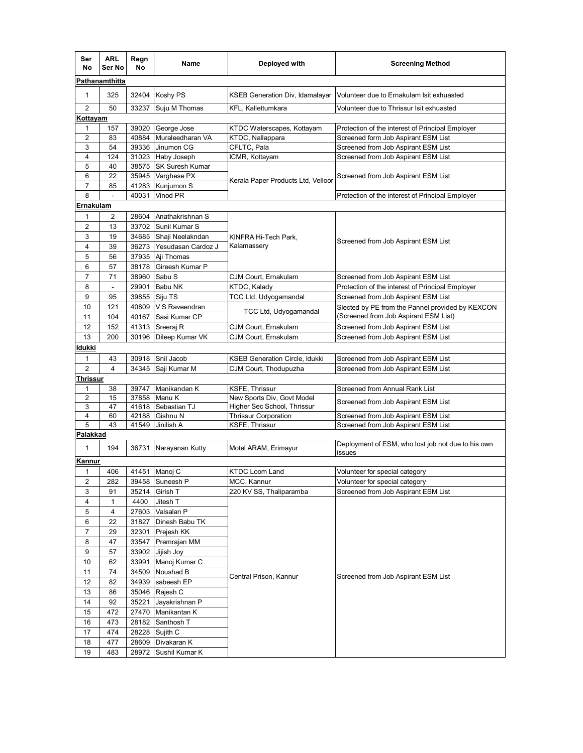| Ser<br>No               | <b>ARL</b><br>Ser No                                                                           | Regn<br>No     | Name                                  | Deployed with                      | <b>Screening Method</b>                            |  |  |
|-------------------------|------------------------------------------------------------------------------------------------|----------------|---------------------------------------|------------------------------------|----------------------------------------------------|--|--|
| Pathanamthitta          |                                                                                                |                |                                       |                                    |                                                    |  |  |
| $\mathbf{1}$            | 325                                                                                            | 32404          | Koshy PS                              | KSEB Generation Div, Idamalayar    | Volunteer due to Ernakulam Isit exhuasted          |  |  |
| 2                       | 50<br>33237<br>Suju M Thomas<br>KFL, Kallettumkara<br>Volunteer due to Thrissur Isit exhuasted |                |                                       |                                    |                                                    |  |  |
| <u>Kottayam</u>         |                                                                                                |                |                                       |                                    |                                                    |  |  |
| 1                       | 157                                                                                            | 39020          | George Jose                           | KTDC Waterscapes, Kottayam         | Protection of the interest of Principal Employer   |  |  |
| $\overline{\mathbf{c}}$ | 83                                                                                             | 40884          | Muraleedharan VA                      | KTDC, Nallappara                   | Screened form Job Aspirant ESM List                |  |  |
| 3<br>4                  | 54                                                                                             | 39336          | Jinumon CG                            | CFLTC, Pala                        | Screened from Job Aspirant ESM List                |  |  |
| 5                       | 124<br>40                                                                                      | 31023<br>38575 | Haby Joseph<br><b>SK Suresh Kumar</b> | ICMR, Kottayam                     | Screened from Job Aspirant ESM List                |  |  |
| 6                       | 22                                                                                             | 35945          | Varghese PX                           | Kerala Paper Products Ltd, Velloor | Screened from Job Aspirant ESM List                |  |  |
| $\overline{7}$          | 85                                                                                             | 41283          | Kunjumon S                            |                                    |                                                    |  |  |
| 8                       |                                                                                                | 40031          | Vinod PR                              |                                    | Protection of the interest of Principal Employer   |  |  |
| Ernakulam               |                                                                                                |                |                                       |                                    |                                                    |  |  |
| $\mathbf{1}$            | 2                                                                                              | 28604          | Anathakrishnan S                      |                                    |                                                    |  |  |
| 2                       | 13                                                                                             | 33702          | Sunil Kumar S                         |                                    | Screened from Job Aspirant ESM List                |  |  |
| 3                       | 19                                                                                             | 34685          | Shaji Neelakndan                      | KINFRA Hi-Tech Park,               |                                                    |  |  |
| 4                       | 39                                                                                             | 36273          | Yesudasan Cardoz J                    | Kalamassery                        |                                                    |  |  |
| 5                       | 56                                                                                             | 37935          | Aji Thomas                            |                                    |                                                    |  |  |
| 6                       | 57                                                                                             | 38178          | Gireesh Kumar P                       |                                    |                                                    |  |  |
| $\overline{7}$          | 71                                                                                             | 38960          | Sabu S                                | CJM Court, Ernakulam               | Screened from Job Aspirant ESM List                |  |  |
| 8                       | $\qquad \qquad \blacksquare$                                                                   | 29901          | Babu NK                               | KTDC, Kalady                       | Protection of the interest of Principal Employer   |  |  |
| 9                       | 95                                                                                             | 39855          | Siju TS                               | TCC Ltd, Udyogamandal              | Screened from Job Aspirant ESM List                |  |  |
| 10                      | 121                                                                                            | 40809          | V S Raveendran                        |                                    | Slected by PE from the Pannel provided by KEXCON   |  |  |
| 11                      | 104                                                                                            | 40167          | Sasi Kumar CP                         | TCC Ltd, Udyogamandal              | (Screened from Job Aspirant ESM List)              |  |  |
| 12                      | 152                                                                                            | 41313          | Sreeraj R                             | CJM Court, Ernakulam               | Screened from Job Aspirant ESM List                |  |  |
| 13                      | 200                                                                                            | 30196          | Dileep Kumar VK                       | CJM Court, Ernakulam               | Screened from Job Aspirant ESM List                |  |  |
| ldukki                  |                                                                                                |                |                                       |                                    |                                                    |  |  |
| $\mathbf{1}$            | 43                                                                                             | 30918          | Snil Jacob                            | KSEB Generation Circle, Idukki     | Screened from Job Aspirant ESM List                |  |  |
| $\overline{2}$          | $\overline{\mathbf{4}}$                                                                        | 34345          | Saji Kumar M                          | CJM Court, Thodupuzha              | Screened from Job Aspirant ESM List                |  |  |
| Thrissur                |                                                                                                |                |                                       |                                    |                                                    |  |  |
| 1                       | 38                                                                                             | 39747          | Manikandan K                          | KSFE, Thrissur                     | Screened from Annual Rank List                     |  |  |
| 2                       | 15                                                                                             | 37858          | Manu K                                | New Sports Div, Govt Model         |                                                    |  |  |
| 3                       | 47                                                                                             | 41618          | Sebastian TJ                          | Higher Sec School, Thrissur        | Screened from Job Aspirant ESM List                |  |  |
| 4                       | 60                                                                                             | 42188          | Gishnu N                              | Thrissur Corporation               | Screened from Job Aspirant ESM List                |  |  |
| 5                       | 43                                                                                             | 41549          | Jinilish A                            | <b>KSFE, Thrissur</b>              | Screened from Job Aspirant ESM List                |  |  |
| Palakkad                |                                                                                                |                |                                       |                                    |                                                    |  |  |
| $\mathbf{1}$            | 194                                                                                            | 36731          | Narayanan Kutty                       | Motel ARAM, Erimayur               | Deployment of ESM, who lost job not due to his own |  |  |
| Kannur                  |                                                                                                |                |                                       |                                    | issues                                             |  |  |
| 1                       | 406                                                                                            | 41451          | Manoj C                               | <b>KTDC Loom Land</b>              | Volunteer for special category                     |  |  |
| $\overline{\mathbf{c}}$ | 282                                                                                            | 39458          | Suneesh P                             | MCC, Kannur                        | Volunteer for special category                     |  |  |
| 3                       | 91                                                                                             | 35214          | Girish T                              | 220 KV SS, Thaliparamba            | Screened from Job Aspirant ESM List                |  |  |
| 4                       | $\mathbf{1}$                                                                                   | 4400           | Jitesh T                              |                                    |                                                    |  |  |
| 5                       | 4                                                                                              | 27603          | Valsalan P                            |                                    |                                                    |  |  |
| 6                       | 22                                                                                             | 31827          | Dinesh Babu TK                        |                                    |                                                    |  |  |
| $\boldsymbol{7}$        | 29                                                                                             | 32301          | Prejesh KK                            |                                    |                                                    |  |  |
| 8                       | 47                                                                                             | 33547          | Premrajan MM                          |                                    | Screened from Job Aspirant ESM List                |  |  |
| 9                       | 57                                                                                             | 33902          | Jijish Joy                            |                                    |                                                    |  |  |
| 10                      | 62                                                                                             | 33991          | Manoj Kumar C                         |                                    |                                                    |  |  |
| 11                      | 74                                                                                             | 34509          | Noushad B                             |                                    |                                                    |  |  |
| 12                      | 82                                                                                             | 34939          | sabeesh EP                            | Central Prison, Kannur             |                                                    |  |  |
| 13                      | 86                                                                                             | 35046          | Rajesh C                              |                                    |                                                    |  |  |
| 14                      | 92                                                                                             | 35221          | Jayakrishnan P                        |                                    |                                                    |  |  |
|                         |                                                                                                |                |                                       |                                    |                                                    |  |  |
| 15                      | 472                                                                                            | 27470          | Manikantan K                          |                                    |                                                    |  |  |
| 16<br>17                | 473<br>474                                                                                     | 28182<br>28228 | Santhosh T<br>Sujith C                |                                    |                                                    |  |  |
| 18                      | 477                                                                                            | 28609          | Divakaran K                           |                                    |                                                    |  |  |
| 19                      | 483                                                                                            | 28972          | Sushil Kumar K                        |                                    |                                                    |  |  |
|                         |                                                                                                |                |                                       |                                    |                                                    |  |  |